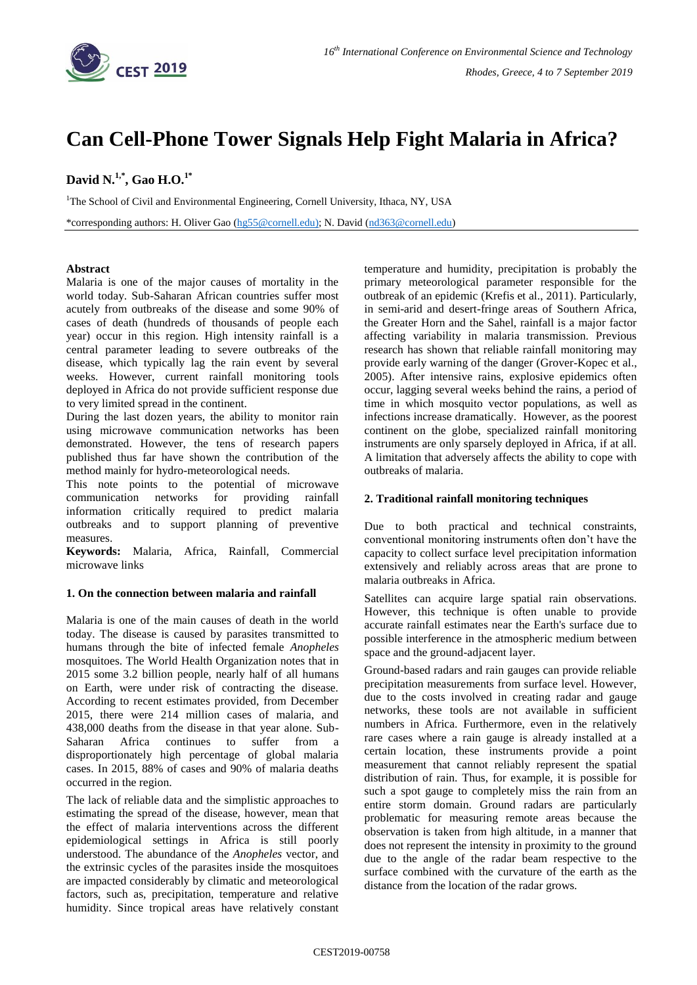

# **Can Cell-Phone Tower Signals Help Fight Malaria in Africa?**

# **David N. 1,\* , Gao H.O.1\***

<sup>1</sup>The School of Civil and Environmental Engineering, Cornell University, Ithaca, NY, USA

\*corresponding authors: H. Oliver Gao [\(hg55@cornell.edu\)](mailto:hg55@cornell.edu); N. David [\(nd363@cornell.edu\)](mailto:nd363@cornell.edu)

# **Abstract**

Malaria is one of the major causes of mortality in the world today. Sub-Saharan African countries suffer most acutely from outbreaks of the disease and some 90% of cases of death (hundreds of thousands of people each year) occur in this region. High intensity rainfall is a central parameter leading to severe outbreaks of the disease, which typically lag the rain event by several weeks. However, current rainfall monitoring tools deployed in Africa do not provide sufficient response due to very limited spread in the continent.

During the last dozen years, the ability to monitor rain using microwave communication networks has been demonstrated. However, the tens of research papers published thus far have shown the contribution of the method mainly for hydro-meteorological needs.

This note points to the potential of microwave communication networks for providing rainfall information critically required to predict malaria outbreaks and to support planning of preventive measures.

**Keywords:** Malaria, Africa, Rainfall, Commercial microwave links

# **1. On the connection between malaria and rainfall**

Malaria is one of the main causes of death in the world today. The disease is caused by parasites transmitted to humans through the bite of infected female *Anopheles* mosquitoes. The World Health Organization notes that in 2015 some 3.2 billion people, nearly half of all humans on Earth, were under risk of contracting the disease. According to recent estimates provided, from December 2015, there were 214 million cases of malaria, and 438,000 deaths from the disease in that year alone. Sub-Saharan Africa continues to suffer from a disproportionately high percentage of global malaria cases. In 2015, 88% of cases and 90% of malaria deaths occurred in the region.

The lack of reliable data and the simplistic approaches to estimating the spread of the disease, however, mean that the effect of malaria interventions across the different epidemiological settings in Africa is still poorly understood. The abundance of the *Anopheles* vector, and the extrinsic cycles of the parasites inside the mosquitoes are impacted considerably by climatic and meteorological factors, such as, precipitation, temperature and relative humidity. Since tropical areas have relatively constant temperature and humidity, precipitation is probably the primary meteorological parameter responsible for the outbreak of an epidemic (Krefis et al., 2011). Particularly, in semi-arid and desert-fringe areas of Southern Africa, the Greater Horn and the Sahel, rainfall is a major factor affecting variability in malaria transmission. Previous research has shown that reliable rainfall monitoring may provide early warning of the danger (Grover-Kopec et al., 2005). After intensive rains, explosive epidemics often occur, lagging several weeks behind the rains, a period of time in which mosquito vector populations, as well as infections increase dramatically. However, as the poorest continent on the globe, specialized rainfall monitoring instruments are only sparsely deployed in Africa, if at all. A limitation that adversely affects the ability to cope with outbreaks of malaria.

#### **2. Traditional rainfall monitoring techniques**

Due to both practical and technical constraints, conventional monitoring instruments often don't have the capacity to collect surface level precipitation information extensively and reliably across areas that are prone to malaria outbreaks in Africa.

Satellites can acquire large spatial rain observations. However, this technique is often unable to provide accurate rainfall estimates near the Earth's surface due to possible interference in the atmospheric medium between space and the ground-adjacent layer.

Ground-based radars and rain gauges can provide reliable precipitation measurements from surface level. However, due to the costs involved in creating radar and gauge networks, these tools are not available in sufficient numbers in Africa. Furthermore, even in the relatively rare cases where a rain gauge is already installed at a certain location, these instruments provide a point measurement that cannot reliably represent the spatial distribution of rain. Thus, for example, it is possible for such a spot gauge to completely miss the rain from an entire storm domain. Ground radars are particularly problematic for measuring remote areas because the observation is taken from high altitude, in a manner that does not represent the intensity in proximity to the ground due to the angle of the radar beam respective to the surface combined with the curvature of the earth as the distance from the location of the radar grows.